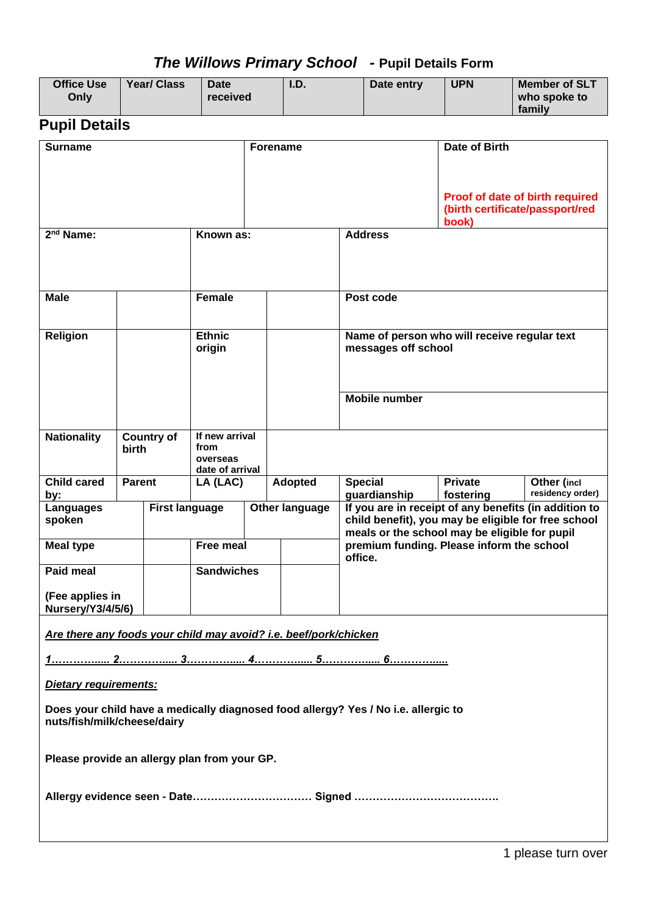# *The Willows Primary School -* **Pupil Details Form**

| <b>Office Use</b><br>Only                                                                                         |                                         | <b>Year/ Class</b> | <b>Date</b><br>received                               |                                                                                                                                                               | I.D.    |                                                                     | Date entry                                           | <b>UPN</b>                  | <b>Member of SLT</b><br>who spoke to<br>family                     |
|-------------------------------------------------------------------------------------------------------------------|-----------------------------------------|--------------------|-------------------------------------------------------|---------------------------------------------------------------------------------------------------------------------------------------------------------------|---------|---------------------------------------------------------------------|------------------------------------------------------|-----------------------------|--------------------------------------------------------------------|
| <b>Pupil Details</b>                                                                                              |                                         |                    |                                                       |                                                                                                                                                               |         |                                                                     |                                                      |                             |                                                                    |
| <b>Surname</b>                                                                                                    |                                         |                    |                                                       | Forename                                                                                                                                                      |         |                                                                     | Date of Birth                                        |                             |                                                                    |
|                                                                                                                   |                                         |                    |                                                       |                                                                                                                                                               |         |                                                                     |                                                      | book)                       | Proof of date of birth required<br>(birth certificate/passport/red |
| 2 <sup>nd</sup> Name:                                                                                             |                                         |                    | Known as:                                             |                                                                                                                                                               |         |                                                                     | <b>Address</b>                                       |                             |                                                                    |
| <b>Male</b>                                                                                                       |                                         |                    | <b>Female</b>                                         |                                                                                                                                                               |         |                                                                     | Post code                                            |                             |                                                                    |
| <b>Religion</b>                                                                                                   |                                         |                    | <b>Ethnic</b><br>origin                               |                                                                                                                                                               |         | Name of person who will receive regular text<br>messages off school |                                                      |                             |                                                                    |
|                                                                                                                   |                                         |                    |                                                       |                                                                                                                                                               |         |                                                                     | <b>Mobile number</b>                                 |                             |                                                                    |
| <b>Nationality</b>                                                                                                | birth                                   | <b>Country of</b>  | If new arrival<br>from<br>overseas<br>date of arrival |                                                                                                                                                               |         |                                                                     |                                                      |                             |                                                                    |
| <b>Child cared</b><br>by:                                                                                         | <b>Parent</b>                           |                    | LA (LAC)                                              |                                                                                                                                                               | Adopted |                                                                     | <b>Special</b><br>guardianship                       | <b>Private</b><br>fostering | Other (incl<br>residency order)                                    |
| Languages<br>spoken                                                                                               | <b>First language</b><br>Other language |                    |                                                       | If you are in receipt of any benefits (in addition to<br>child benefit), you may be eligible for free school<br>meals or the school may be eligible for pupil |         |                                                                     |                                                      |                             |                                                                    |
| <b>Meal type</b>                                                                                                  |                                         |                    | <b>Free meal</b>                                      |                                                                                                                                                               |         |                                                                     | premium funding. Please inform the school<br>office. |                             |                                                                    |
| <b>Paid meal</b>                                                                                                  |                                         |                    | <b>Sandwiches</b>                                     |                                                                                                                                                               |         |                                                                     |                                                      |                             |                                                                    |
| (Fee applies in<br>Nursery/Y3/4/5/6)                                                                              |                                         |                    |                                                       |                                                                                                                                                               |         |                                                                     |                                                      |                             |                                                                    |
| Are there any foods your child may avoid? i.e. beef/pork/chicken                                                  |                                         |                    |                                                       |                                                                                                                                                               |         |                                                                     |                                                      |                             |                                                                    |
|                                                                                                                   |                                         |                    |                                                       |                                                                                                                                                               |         |                                                                     |                                                      |                             |                                                                    |
| Dietary requirements:                                                                                             |                                         |                    |                                                       |                                                                                                                                                               |         |                                                                     |                                                      |                             |                                                                    |
| Does your child have a medically diagnosed food allergy? Yes / No i.e. allergic to<br>nuts/fish/milk/cheese/dairy |                                         |                    |                                                       |                                                                                                                                                               |         |                                                                     |                                                      |                             |                                                                    |
| Please provide an allergy plan from your GP.                                                                      |                                         |                    |                                                       |                                                                                                                                                               |         |                                                                     |                                                      |                             |                                                                    |
|                                                                                                                   |                                         |                    |                                                       |                                                                                                                                                               |         |                                                                     |                                                      |                             |                                                                    |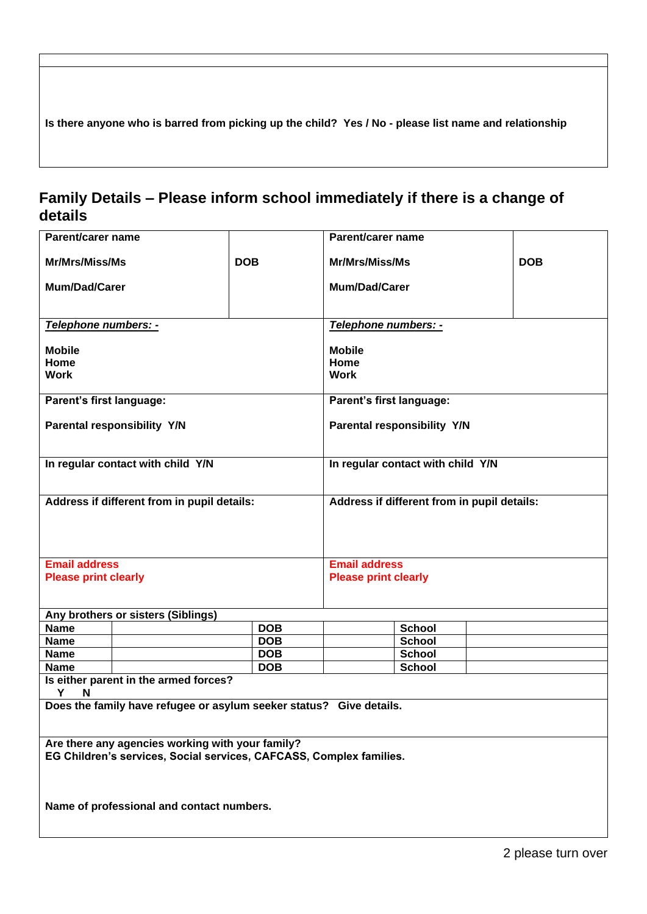**Is there anyone who is barred from picking up the child? Yes / No - please list name and relationship**

### **Family Details – Please inform school immediately if there is a change of details**

| Parent/carer name                                                   |                                                                     |            | Parent/carer name                           |                                   |  |            |
|---------------------------------------------------------------------|---------------------------------------------------------------------|------------|---------------------------------------------|-----------------------------------|--|------------|
| Mr/Mrs/Miss/Ms                                                      | <b>DOB</b>                                                          |            | <b>Mr/Mrs/Miss/Ms</b>                       |                                   |  | <b>DOB</b> |
| <b>Mum/Dad/Carer</b>                                                |                                                                     |            | <b>Mum/Dad/Carer</b>                        |                                   |  |            |
|                                                                     |                                                                     |            |                                             |                                   |  |            |
| Telephone numbers: -                                                |                                                                     |            | Telephone numbers: -                        |                                   |  |            |
| <b>Mobile</b>                                                       |                                                                     |            | <b>Mobile</b>                               |                                   |  |            |
| Home                                                                |                                                                     |            | Home                                        |                                   |  |            |
| <b>Work</b>                                                         |                                                                     |            | <b>Work</b>                                 |                                   |  |            |
| Parent's first language:                                            |                                                                     |            | Parent's first language:                    |                                   |  |            |
|                                                                     |                                                                     |            |                                             |                                   |  |            |
|                                                                     | Parental responsibility Y/N                                         |            |                                             | Parental responsibility Y/N       |  |            |
|                                                                     |                                                                     |            |                                             |                                   |  |            |
|                                                                     | In regular contact with child Y/N                                   |            |                                             | In regular contact with child Y/N |  |            |
|                                                                     |                                                                     |            |                                             |                                   |  |            |
|                                                                     | Address if different from in pupil details:                         |            | Address if different from in pupil details: |                                   |  |            |
|                                                                     |                                                                     |            |                                             |                                   |  |            |
|                                                                     |                                                                     |            |                                             |                                   |  |            |
|                                                                     |                                                                     |            |                                             |                                   |  |            |
| <b>Email address</b>                                                |                                                                     |            | <b>Email address</b>                        |                                   |  |            |
| <b>Please print clearly</b>                                         |                                                                     |            | <b>Please print clearly</b>                 |                                   |  |            |
|                                                                     |                                                                     |            |                                             |                                   |  |            |
|                                                                     | Any brothers or sisters (Siblings)                                  |            |                                             |                                   |  |            |
| <b>Name</b>                                                         |                                                                     | <b>DOB</b> |                                             | <b>School</b>                     |  |            |
| <b>Name</b>                                                         |                                                                     | <b>DOB</b> |                                             | <b>School</b>                     |  |            |
| <b>Name</b>                                                         |                                                                     | <b>DOB</b> |                                             | <b>School</b>                     |  |            |
| <b>Name</b>                                                         | Is either parent in the armed forces?                               | <b>DOB</b> |                                             | <b>School</b>                     |  |            |
| Y<br>N                                                              |                                                                     |            |                                             |                                   |  |            |
|                                                                     | Does the family have refugee or asylum seeker status? Give details. |            |                                             |                                   |  |            |
|                                                                     |                                                                     |            |                                             |                                   |  |            |
| Are there any agencies working with your family?                    |                                                                     |            |                                             |                                   |  |            |
| EG Children's services, Social services, CAFCASS, Complex families. |                                                                     |            |                                             |                                   |  |            |
|                                                                     |                                                                     |            |                                             |                                   |  |            |
|                                                                     |                                                                     |            |                                             |                                   |  |            |
| Name of professional and contact numbers.                           |                                                                     |            |                                             |                                   |  |            |
|                                                                     |                                                                     |            |                                             |                                   |  |            |
|                                                                     |                                                                     |            |                                             |                                   |  |            |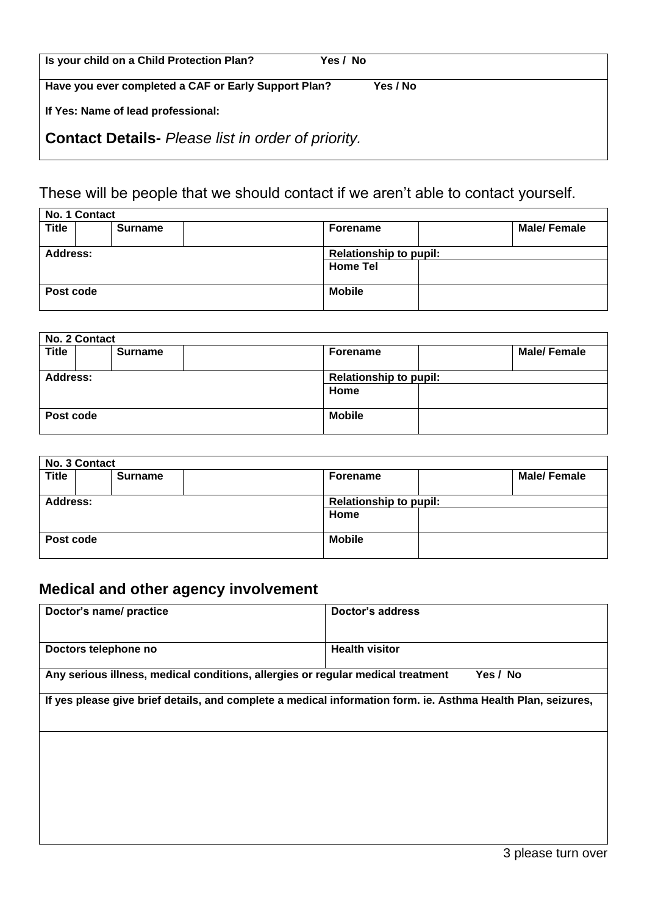| Is your child on a Child Protection Plan?                 | Yes / No |  |
|-----------------------------------------------------------|----------|--|
| Have you ever completed a CAF or Early Support Plan?      | Yes / No |  |
| If Yes: Name of lead professional:                        |          |  |
| <b>Contact Details-</b> Please list in order of priority. |          |  |

# These will be people that we should contact if we aren't able to contact yourself.

|                 | No. 1 Contact |                |                 |                               |  |  |  |
|-----------------|---------------|----------------|-----------------|-------------------------------|--|--|--|
| <b>Title</b>    |               | <b>Surname</b> | <b>Forename</b> | <b>Male/Female</b>            |  |  |  |
|                 |               |                |                 |                               |  |  |  |
| <b>Address:</b> |               |                |                 | <b>Relationship to pupil:</b> |  |  |  |
|                 |               |                | <b>Home Tel</b> |                               |  |  |  |
|                 |               |                |                 |                               |  |  |  |
| Post code       |               |                | <b>Mobile</b>   |                               |  |  |  |
|                 |               |                |                 |                               |  |  |  |

|                 | No. 2 Contact |                |                               |                    |
|-----------------|---------------|----------------|-------------------------------|--------------------|
| <b>Title</b>    |               | <b>Surname</b> | <b>Forename</b>               | <b>Male/Female</b> |
| <b>Address:</b> |               |                | <b>Relationship to pupil:</b> |                    |
|                 |               |                | Home                          |                    |
| Post code       |               |                | <b>Mobile</b>                 |                    |
|                 |               |                |                               |                    |

|                 | No. 3 Contact |  |                 |                               |  |  |
|-----------------|---------------|--|-----------------|-------------------------------|--|--|
| <b>Title</b>    | Surname       |  | <b>Forename</b> | <b>Male/Female</b>            |  |  |
| <b>Address:</b> |               |  |                 | <b>Relationship to pupil:</b> |  |  |
|                 |               |  | Home            |                               |  |  |
| Post code       |               |  | <b>Mobile</b>   |                               |  |  |
|                 |               |  |                 |                               |  |  |

## **Medical and other agency involvement**

| Doctor's name/ practice                                                                                      | <b>Doctor's address</b> |
|--------------------------------------------------------------------------------------------------------------|-------------------------|
| Doctors telephone no                                                                                         | <b>Health visitor</b>   |
| Any serious illness, medical conditions, allergies or regular medical treatment                              | Yes / No                |
| If yes please give brief details, and complete a medical information form. ie. Asthma Health Plan, seizures, |                         |
|                                                                                                              |                         |
|                                                                                                              |                         |
|                                                                                                              |                         |
|                                                                                                              |                         |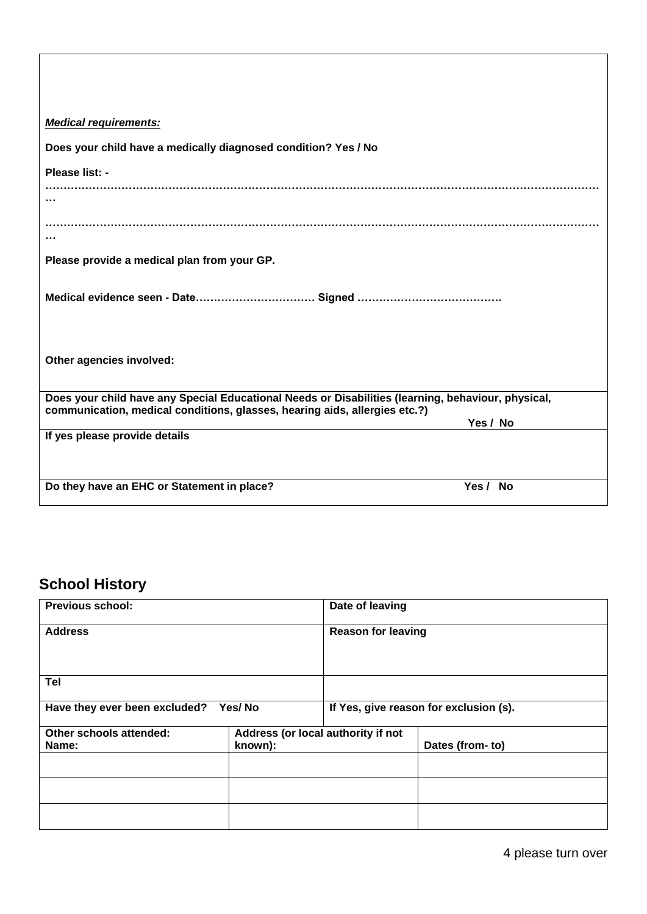| <b>Medical requirements:</b>                                                                                                                                                     |          |
|----------------------------------------------------------------------------------------------------------------------------------------------------------------------------------|----------|
| Does your child have a medically diagnosed condition? Yes / No                                                                                                                   |          |
| Please list: -                                                                                                                                                                   |          |
|                                                                                                                                                                                  |          |
|                                                                                                                                                                                  |          |
|                                                                                                                                                                                  |          |
| Please provide a medical plan from your GP.                                                                                                                                      |          |
|                                                                                                                                                                                  |          |
| Other agencies involved:                                                                                                                                                         |          |
| Does your child have any Special Educational Needs or Disabilities (learning, behaviour, physical,<br>communication, medical conditions, glasses, hearing aids, allergies etc.?) |          |
|                                                                                                                                                                                  | Yes / No |
| If yes please provide details                                                                                                                                                    |          |
| Do they have an EHC or Statement in place?                                                                                                                                       | Yes / No |

## **School History**

| <b>Previous school:</b>       |                                    | Date of leaving                        |                 |  |
|-------------------------------|------------------------------------|----------------------------------------|-----------------|--|
| <b>Address</b>                |                                    | <b>Reason for leaving</b>              |                 |  |
| <b>Tel</b>                    |                                    |                                        |                 |  |
| Have they ever been excluded? | Yes/No                             | If Yes, give reason for exclusion (s). |                 |  |
| Other schools attended:       | Address (or local authority if not |                                        |                 |  |
| Name:                         | known):                            |                                        | Dates (from-to) |  |
|                               |                                    |                                        |                 |  |
|                               |                                    |                                        |                 |  |
|                               |                                    |                                        |                 |  |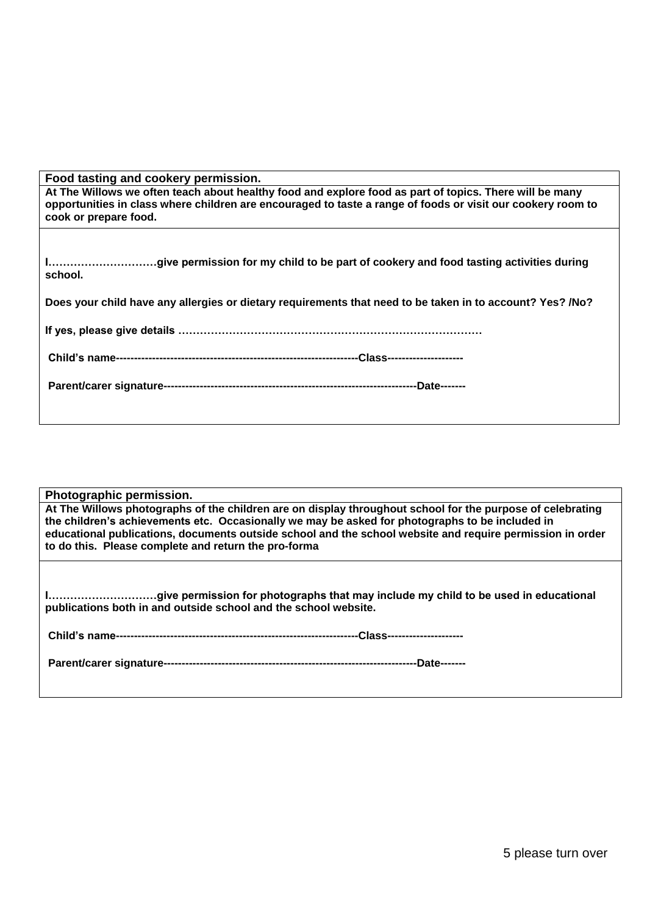| Food tasting and cookery permission. |  |
|--------------------------------------|--|
|                                      |  |

**At The Willows we often teach about healthy food and explore food as part of topics. There will be many opportunities in class where children are encouraged to taste a range of foods or visit our cookery room to cook or prepare food.** 

| school. |  |
|---------|--|

**Does your child have any allergies or dietary requirements that need to be taken in to account? Yes? /No?**

|--|

|--|--|

| Photographic permission.<br>At The Willows photographs of the children are on display throughout school for the purpose of celebrating<br>the children's achievements etc. Occasionally we may be asked for photographs to be included in<br>educational publications, documents outside school and the school website and require permission in order<br>to do this. Please complete and return the pro-forma |  |  |
|----------------------------------------------------------------------------------------------------------------------------------------------------------------------------------------------------------------------------------------------------------------------------------------------------------------------------------------------------------------------------------------------------------------|--|--|
| publications both in and outside school and the school website.                                                                                                                                                                                                                                                                                                                                                |  |  |
|                                                                                                                                                                                                                                                                                                                                                                                                                |  |  |
|                                                                                                                                                                                                                                                                                                                                                                                                                |  |  |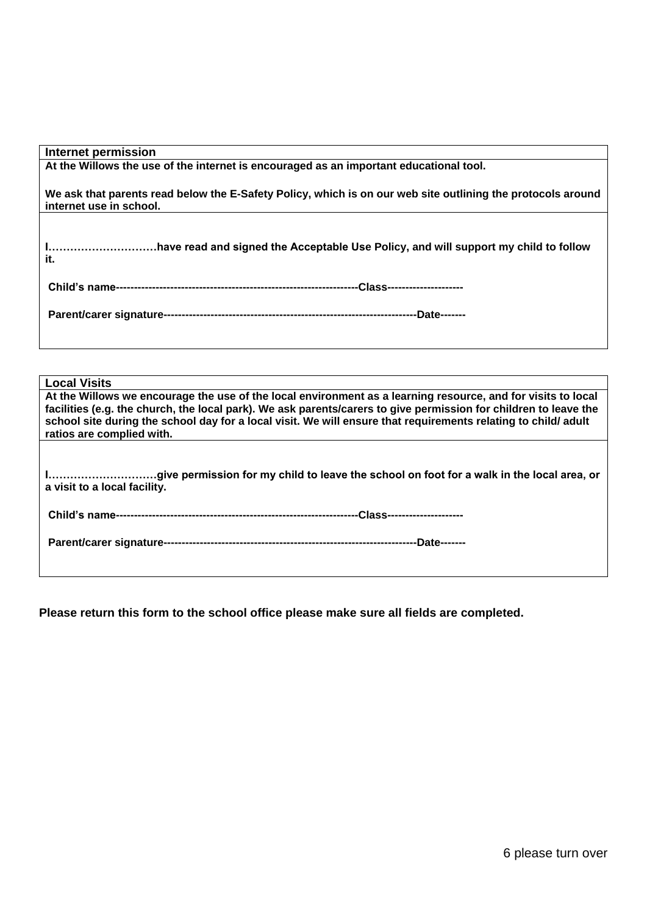| Internet permission                                                                                                                                                                                                                                                                                                                                                            |
|--------------------------------------------------------------------------------------------------------------------------------------------------------------------------------------------------------------------------------------------------------------------------------------------------------------------------------------------------------------------------------|
| At the Willows the use of the internet is encouraged as an important educational tool.                                                                                                                                                                                                                                                                                         |
| We ask that parents read below the E-Safety Policy, which is on our web site outlining the protocols around<br>internet use in school.                                                                                                                                                                                                                                         |
|                                                                                                                                                                                                                                                                                                                                                                                |
| Ihave read and signed the Acceptable Use Policy, and will support my child to follow<br>it.                                                                                                                                                                                                                                                                                    |
|                                                                                                                                                                                                                                                                                                                                                                                |
|                                                                                                                                                                                                                                                                                                                                                                                |
|                                                                                                                                                                                                                                                                                                                                                                                |
|                                                                                                                                                                                                                                                                                                                                                                                |
| <b>Local Visits</b>                                                                                                                                                                                                                                                                                                                                                            |
| At the Willows we encourage the use of the local environment as a learning resource, and for visits to local<br>facilities (e.g. the church, the local park). We ask parents/carers to give permission for children to leave the<br>school site during the school day for a local visit. We will ensure that requirements relating to child/adult<br>ratios are complied with. |

**I…………………………give permission for my child to leave the school on foot for a walk in the local area, or a visit to a local facility.** 

**Child's name-------------------------------------------------------------------Class---------------------**

|--|

**Please return this form to the school office please make sure all fields are completed.**